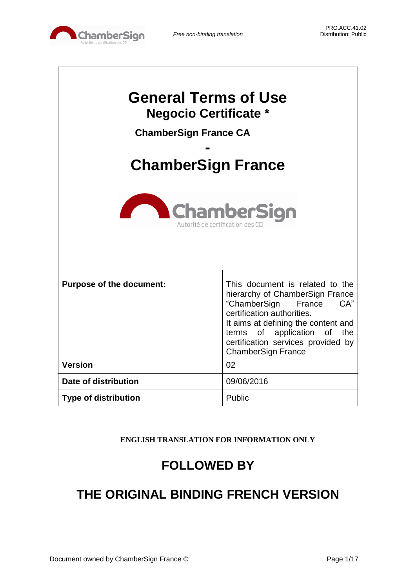

 $\lceil$ 

| <b>General Terms of Use</b><br><b>Negocio Certificate *</b><br><b>ChamberSign France CA</b><br><b>ChamberSign France</b> |                                                                                                                                                                                                                                                                            |  |
|--------------------------------------------------------------------------------------------------------------------------|----------------------------------------------------------------------------------------------------------------------------------------------------------------------------------------------------------------------------------------------------------------------------|--|
| <b>ChamberSign</b><br>Autorité de certification des C                                                                    |                                                                                                                                                                                                                                                                            |  |
| <b>Purpose of the document:</b>                                                                                          | This document is related to the<br>hierarchy of ChamberSign France<br>"ChamberSign<br>CA"<br>France<br>certification authorities.<br>It aims at defining the content and<br>terms of application of the<br>certification services provided by<br><b>ChamberSign France</b> |  |
| <b>Version</b>                                                                                                           | 02                                                                                                                                                                                                                                                                         |  |
| Date of distribution                                                                                                     | 09/06/2016                                                                                                                                                                                                                                                                 |  |
| <b>Type of distribution</b>                                                                                              | Public                                                                                                                                                                                                                                                                     |  |

**ENGLISH TRANSLATION FOR INFORMATION ONLY**

# **FOLLOWED BY**

# **THE ORIGINAL BINDING FRENCH VERSION**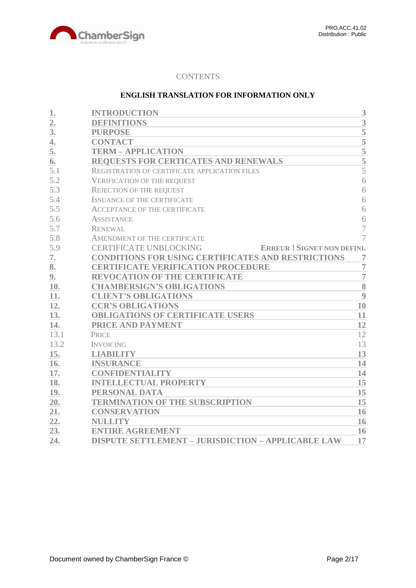

# **CONTENTS**

# **ENGLISH TRANSLATION FOR INFORMATION ONLY**

| 1.             | <b>INTRODUCTION</b>                                                | 3              |
|----------------|--------------------------------------------------------------------|----------------|
| 2.             | <b>DEFINITIONS</b>                                                 | $\overline{3}$ |
| 3 <sub>l</sub> | <b>PURPOSE</b>                                                     | 5              |
| 4.             | <b>CONTACT</b>                                                     | 5              |
| 5.             | <b>TERM - APPLICATION</b>                                          | 5              |
| 6.             | <b>REQUESTS FOR CERTICATES AND RENEWALS</b>                        | $\overline{5}$ |
| 5.1            | REGISTRATION OF CERTIFICATE APPLICATION FILES                      | 5              |
| 5.2            | <b>VERIFICATION OF THE REQUEST</b>                                 | 6              |
| 5.3            | <b>REJECTION OF THE REQUEST</b>                                    | 6              |
| 5.4            | <b>ISSUANCE OF THE CERTIFICATE</b>                                 | 6              |
| 5.5            | <b>ACCEPTANCE OF THE CERTIFICATE</b>                               | 6              |
| 5.6            | <b>ASSISTANCE</b>                                                  | 6              |
| 5.7            | <b>RENEWAL</b>                                                     | $\overline{7}$ |
| 5.8            | AMENDMENT OF THE CERTIFICATE                                       | $\overline{7}$ |
| 5.9            | <b>CERTIFICATE UNBLOCKING</b><br><b>ERREUR! SIGNET NON DEFINI.</b> |                |
| 7.             | <b>CONDITIONS FOR USING CERTIFICATES AND RESTRICTIONS</b>          | 7              |
| 8.             | <b>CERTIFICATE VERIFICATION PROCEDURE</b>                          | $\overline{7}$ |
| 9.             | <b>REVOCATION OF THE CERTIFICATE</b>                               | $\overline{7}$ |
| 10.            | <b>CHAMBERSIGN'S OBLIGATIONS</b>                                   | 8              |
| 11.            | <b>CLIENT'S OBLIGATIONS</b>                                        | 9              |
| 12.            | <b>CCR'S OBLIGATIONS</b>                                           | 10             |
| 13.            | <b>OBLIGATIONS OF CERTIFICATE USERS</b>                            | 11             |
| 14.            | PRICE AND PAYMENT                                                  | 12             |
| 13.1           | PRICE                                                              | 12             |
| 13.2           | <b>INVOICING</b>                                                   | 13             |
| 15.            | <b>LIABILITY</b>                                                   | 13             |
| 16.            | <b>INSURANCE</b>                                                   | 14             |
| 17.            | <b>CONFIDENTIALITY</b>                                             | 14             |
| 18.            | <b>INTELLECTUAL PROPERTY</b>                                       | 15             |
| 19.            | PERSONAL DATA                                                      | 15             |
| 20.            | <b>TERMINATION OF THE SUBSCRIPTION</b>                             | 15             |
| 21.            | <b>CONSERVATION</b>                                                | 16             |
| 22.            | <b>NULLITY</b>                                                     | 16             |
| 23.            | <b>ENTIRE AGREEMENT</b>                                            | 16             |
| 24.            | <b>DISPUTE SETTLEMENT - JURISDICTION - APPLICABLE LAW</b>          | 17             |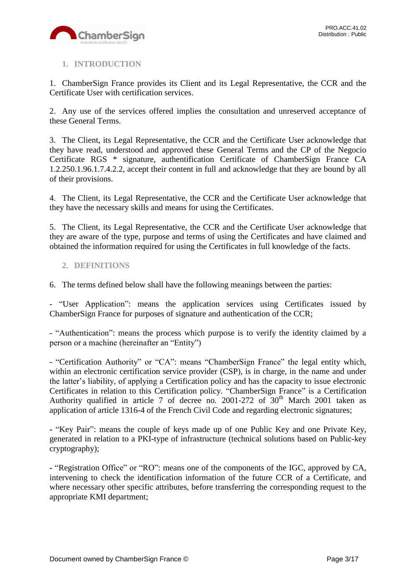

# <span id="page-2-0"></span>**1. INTRODUCTION**

1. ChamberSign France provides its Client and its Legal Representative, the CCR and the Certificate User with certification services.

2. Any use of the services offered implies the consultation and unreserved acceptance of these General Terms.

3. The Client, its Legal Representative, the CCR and the Certificate User acknowledge that they have read, understood and approved these General Terms and the CP of the Negocio Certificate RGS \* signature, authentification Certificate of ChamberSign France CA 1.2.250.1.96.1.7.4.2.2, accept their content in full and acknowledge that they are bound by all of their provisions.

4. The Client, its Legal Representative, the CCR and the Certificate User acknowledge that they have the necessary skills and means for using the Certificates.

5. The Client, its Legal Representative, the CCR and the Certificate User acknowledge that they are aware of the type, purpose and terms of using the Certificates and have claimed and obtained the information required for using the Certificates in full knowledge of the facts.

# <span id="page-2-1"></span>**2. DEFINITIONS**

6. The terms defined below shall have the following meanings between the parties:

- "User Application": means the application services using Certificates issued by ChamberSign France for purposes of signature and authentication of the CCR;

- "Authentication": means the process which purpose is to verify the identity claimed by a person or a machine (hereinafter an "Entity")

- "Certification Authority" or "CA": means "ChamberSign France" the legal entity which, within an electronic certification service provider (CSP), is in charge, in the name and under the latter's liability, of applying a Certification policy and has the capacity to issue electronic Certificates in relation to this Certification policy. "ChamberSign France" is a Certification Authority qualified in article 7 of decree no. 2001-272 of  $30<sup>th</sup>$  March 2001 taken as application of article 1316-4 of the French Civil Code and regarding electronic signatures;

**-** "Key Pair": means the couple of keys made up of one Public Key and one Private Key, generated in relation to a PKI-type of infrastructure (technical solutions based on Public-key cryptography);

**-** "Registration Office" or "RO": means one of the components of the IGC, approved by CA, intervening to check the identification information of the future CCR of a Certificate, and where necessary other specific attributes, before transferring the corresponding request to the appropriate KMI department;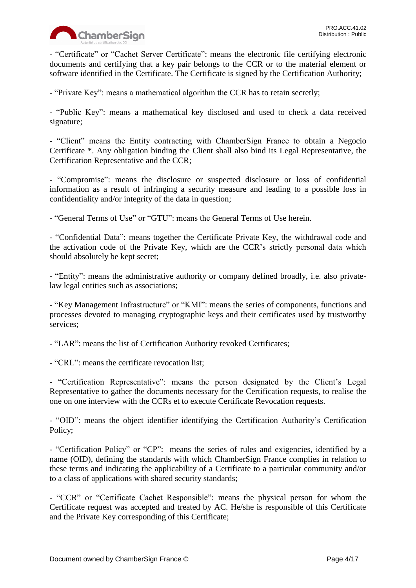

- "Certificate" or "Cachet Server Certificate": means the electronic file certifying electronic documents and certifying that a key pair belongs to the CCR or to the material element or software identified in the Certificate. The Certificate is signed by the Certification Authority;

- "Private Key": means a mathematical algorithm the CCR has to retain secretly;

- "Public Key": means a mathematical key disclosed and used to check a data received signature;

- "Client" means the Entity contracting with ChamberSign France to obtain a Negocio Certificate \*. Any obligation binding the Client shall also bind its Legal Representative, the Certification Representative and the CCR;

- "Compromise": means the disclosure or suspected disclosure or loss of confidential information as a result of infringing a security measure and leading to a possible loss in confidentiality and/or integrity of the data in question;

- "General Terms of Use" or "GTU": means the General Terms of Use herein.

**-** "Confidential Data": means together the Certificate Private Key, the withdrawal code and the activation code of the Private Key, which are the CCR's strictly personal data which should absolutely be kept secret;

- "Entity": means the administrative authority or company defined broadly, i.e. also privatelaw legal entities such as associations;

- "Key Management Infrastructure" or "KMI": means the series of components, functions and processes devoted to managing cryptographic keys and their certificates used by trustworthy services;

- "LAR": means the list of Certification Authority revoked Certificates;

- "CRL": means the certificate revocation list;

- "Certification Representative": means the person designated by the Client's Legal Representative to gather the documents necessary for the Certification requests, to realise the one on one interview with the CCRs et to execute Certificate Revocation requests.

- "OID": means the object identifier identifying the Certification Authority's Certification Policy;

**-** "Certification Policy" or "CP": means the series of rules and exigencies, identified by a name (OID), defining the standards with which ChamberSign France complies in relation to these terms and indicating the applicability of a Certificate to a particular community and/or to a class of applications with shared security standards;

- "CCR" or "Certificate Cachet Responsible": means the physical person for whom the Certificate request was accepted and treated by AC. He/she is responsible of this Certificate and the Private Key corresponding of this Certificate;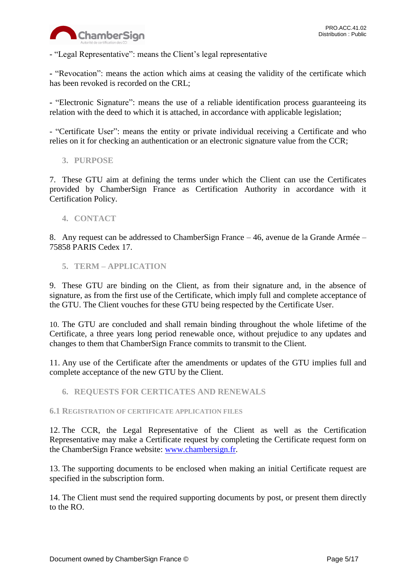

- "Legal Representative": means the Client's legal representative

**-** "Revocation": means the action which aims at ceasing the validity of the certificate which has been revoked is recorded on the CRL;

**-** "Electronic Signature": means the use of a reliable identification process guaranteeing its relation with the deed to which it is attached, in accordance with applicable legislation;

- "Certificate User": means the entity or private individual receiving a Certificate and who relies on it for checking an authentication or an electronic signature value from the CCR;

<span id="page-4-0"></span>**3. PURPOSE**

7. These GTU aim at defining the terms under which the Client can use the Certificates provided by ChamberSign France as Certification Authority in accordance with it Certification Policy.

<span id="page-4-1"></span>**4. CONTACT**

8. Any request can be addressed to ChamberSign France – 46, avenue de la Grande Armée – 75858 PARIS Cedex 17.

<span id="page-4-2"></span>**5. TERM – APPLICATION**

9. These GTU are binding on the Client, as from their signature and, in the absence of signature, as from the first use of the Certificate, which imply full and complete acceptance of the GTU. The Client vouches for these GTU being respected by the Certificate User.

10. The GTU are concluded and shall remain binding throughout the whole lifetime of the Certificate, a three years long period renewable once, without prejudice to any updates and changes to them that ChamberSign France commits to transmit to the Client.

11. Any use of the Certificate after the amendments or updates of the GTU implies full and complete acceptance of the new GTU by the Client.

<span id="page-4-3"></span>**6. REQUESTS FOR CERTICATES AND RENEWALS**

<span id="page-4-4"></span>**6.1 REGISTRATION OF CERTIFICATE APPLICATION FILES**

12. The CCR, the Legal Representative of the Client as well as the Certification Representative may make a Certificate request by completing the Certificate request form on the ChamberSign France website: [www.chambersign.fr.](http://www.chambersign.fr/)

13. The supporting documents to be enclosed when making an initial Certificate request are specified in the subscription form.

14. The Client must send the required supporting documents by post, or present them directly to the RO.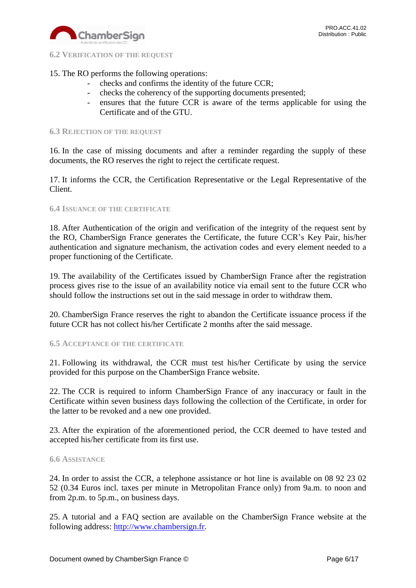

<span id="page-5-0"></span>**6.2 VERIFICATION OF THE REQUEST**

# 15. The RO performs the following operations:

- checks and confirms the identity of the future CCR;
- checks the coherency of the supporting documents presented;
- ensures that the future CCR is aware of the terms applicable for using the Certificate and of the GTU.

## <span id="page-5-1"></span>**6.3 REJECTION OF THE REQUEST**

16. In the case of missing documents and after a reminder regarding the supply of these documents, the RO reserves the right to reject the certificate request.

17. It informs the CCR, the Certification Representative or the Legal Representative of the Client.

## <span id="page-5-2"></span>**6.4 ISSUANCE OF THE CERTIFICATE**

18. After Authentication of the origin and verification of the integrity of the request sent by the RO, ChamberSign France generates the Certificate, the future CCR's Key Pair, his/her authentication and signature mechanism, the activation codes and every element needed to a proper functioning of the Certificate.

19. The availability of the Certificates issued by ChamberSign France after the registration process gives rise to the issue of an availability notice via email sent to the future CCR who should follow the instructions set out in the said message in order to withdraw them.

20. ChamberSign France reserves the right to abandon the Certificate issuance process if the future CCR has not collect his/her Certificate 2 months after the said message.

## <span id="page-5-3"></span>**6.5 ACCEPTANCE OF THE CERTIFICATE**

21. Following its withdrawal, the CCR must test his/her Certificate by using the service provided for this purpose on the ChamberSign France website.

22. The CCR is required to inform ChamberSign France of any inaccuracy or fault in the Certificate within seven business days following the collection of the Certificate, in order for the latter to be revoked and a new one provided.

23. After the expiration of the aforementioned period, the CCR deemed to have tested and accepted his/her certificate from its first use.

## <span id="page-5-4"></span>**6.6 ASSISTANCE**

24. In order to assist the CCR, a telephone assistance or hot line is available on 08 92 23 02 52 (0.34 Euros incl. taxes per minute in Metropolitan France only) from 9a.m. to noon and from 2p.m. to 5p.m., on business days.

25. A tutorial and a FAQ section are available on the ChamberSign France website at the following address: [http://www.chambersign.fr.](http://www.chambersign.fr/)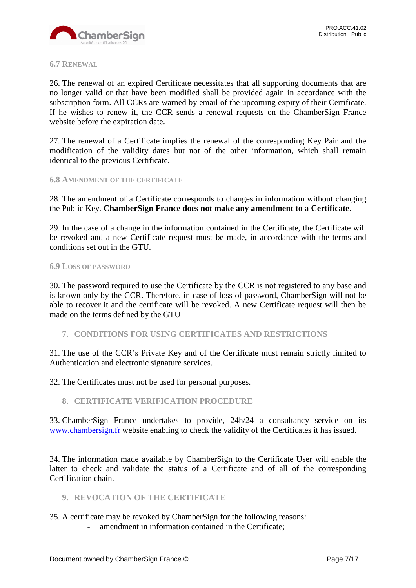

## <span id="page-6-0"></span>**6.7 RENEWAL**

26. The renewal of an expired Certificate necessitates that all supporting documents that are no longer valid or that have been modified shall be provided again in accordance with the subscription form. All CCRs are warned by email of the upcoming expiry of their Certificate. If he wishes to renew it, the CCR sends a renewal requests on the ChamberSign France website before the expiration date.

27. The renewal of a Certificate implies the renewal of the corresponding Key Pair and the modification of the validity dates but not of the other information, which shall remain identical to the previous Certificate.

## <span id="page-6-1"></span>**6.8 AMENDMENT OF THE CERTIFICATE**

28. The amendment of a Certificate corresponds to changes in information without changing the Public Key. **ChamberSign France does not make any amendment to a Certificate**.

29. In the case of a change in the information contained in the Certificate, the Certificate will be revoked and a new Certificate request must be made, in accordance with the terms and conditions set out in the GTU.

#### **6.9 LOSS OF PASSWORD**

30. The password required to use the Certificate by the CCR is not registered to any base and is known only by the CCR. Therefore, in case of loss of password, ChamberSign will not be able to recover it and the certificate will be revoked. A new Certificate request will then be made on the terms defined by the GTU

## <span id="page-6-2"></span>**7. CONDITIONS FOR USING CERTIFICATES AND RESTRICTIONS**

31. The use of the CCR's Private Key and of the Certificate must remain strictly limited to Authentication and electronic signature services.

32. The Certificates must not be used for personal purposes.

# <span id="page-6-3"></span>**8. CERTIFICATE VERIFICATION PROCEDURE**

33. ChamberSign France undertakes to provide, 24h/24 a consultancy service on its [www.chambersign.fr](http://www.chambersign.fr/) website enabling to check the validity of the Certificates it has issued.

34. The information made available by ChamberSign to the Certificate User will enable the latter to check and validate the status of a Certificate and of all of the corresponding Certification chain.

# <span id="page-6-4"></span>**9. REVOCATION OF THE CERTIFICATE**

35. A certificate may be revoked by ChamberSign for the following reasons:

amendment in information contained in the Certificate: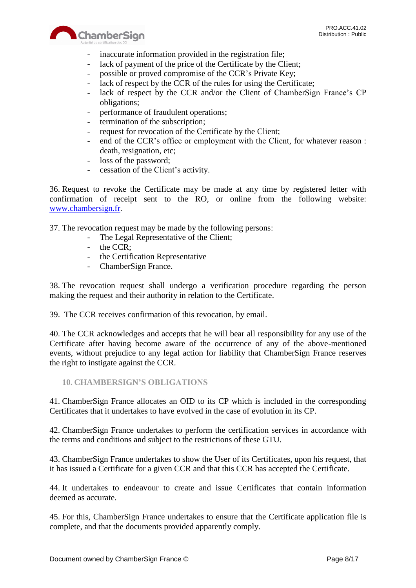

- inaccurate information provided in the registration file;
- lack of payment of the price of the Certificate by the Client;
- possible or proved compromise of the CCR's Private Key;
- lack of respect by the CCR of the rules for using the Certificate;
- lack of respect by the CCR and/or the Client of ChamberSign France's CP obligations;
- performance of fraudulent operations;
- termination of the subscription;
- request for revocation of the Certificate by the Client;
- end of the CCR's office or employment with the Client, for whatever reason : death, resignation, etc;
- loss of the password;
- cessation of the Client's activity.

36. Request to revoke the Certificate may be made at any time by registered letter with confirmation of receipt sent to the RO, or online from the following website: [www.chambersign.fr.](http://www.chambersign.fr/)

37. The revocation request may be made by the following persons:

- The Legal Representative of the Client;
- the CCR:
- the Certification Representative
- ChamberSign France.

38. The revocation request shall undergo a verification procedure regarding the person making the request and their authority in relation to the Certificate.

39. The CCR receives confirmation of this revocation, by email.

40. The CCR acknowledges and accepts that he will bear all responsibility for any use of the Certificate after having become aware of the occurrence of any of the above-mentioned events, without prejudice to any legal action for liability that ChamberSign France reserves the right to instigate against the CCR.

<span id="page-7-0"></span>**10. CHAMBERSIGN'S OBLIGATIONS**

41. ChamberSign France allocates an OID to its CP which is included in the corresponding Certificates that it undertakes to have evolved in the case of evolution in its CP.

42. ChamberSign France undertakes to perform the certification services in accordance with the terms and conditions and subject to the restrictions of these GTU.

43. ChamberSign France undertakes to show the User of its Certificates, upon his request, that it has issued a Certificate for a given CCR and that this CCR has accepted the Certificate.

44. It undertakes to endeavour to create and issue Certificates that contain information deemed as accurate.

45. For this, ChamberSign France undertakes to ensure that the Certificate application file is complete, and that the documents provided apparently comply.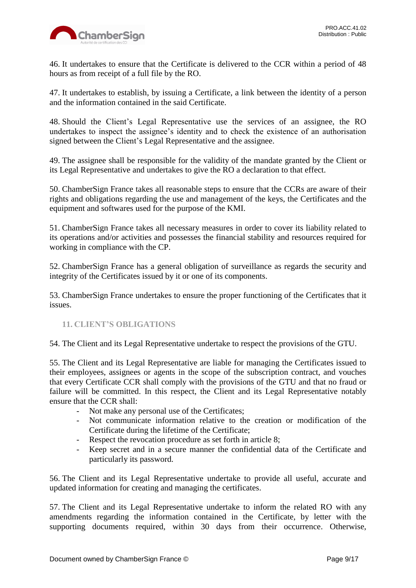

46. It undertakes to ensure that the Certificate is delivered to the CCR within a period of 48 hours as from receipt of a full file by the RO.

47. It undertakes to establish, by issuing a Certificate, a link between the identity of a person and the information contained in the said Certificate.

48. Should the Client's Legal Representative use the services of an assignee, the RO undertakes to inspect the assignee's identity and to check the existence of an authorisation signed between the Client's Legal Representative and the assignee.

49. The assignee shall be responsible for the validity of the mandate granted by the Client or its Legal Representative and undertakes to give the RO a declaration to that effect.

50. ChamberSign France takes all reasonable steps to ensure that the CCRs are aware of their rights and obligations regarding the use and management of the keys, the Certificates and the equipment and softwares used for the purpose of the KMI.

51. ChamberSign France takes all necessary measures in order to cover its liability related to its operations and/or activities and possesses the financial stability and resources required for working in compliance with the CP.

52. ChamberSign France has a general obligation of surveillance as regards the security and integrity of the Certificates issued by it or one of its components.

53. ChamberSign France undertakes to ensure the proper functioning of the Certificates that it issues.

# <span id="page-8-0"></span>**11. CLIENT'S OBLIGATIONS**

54. The Client and its Legal Representative undertake to respect the provisions of the GTU.

55. The Client and its Legal Representative are liable for managing the Certificates issued to their employees, assignees or agents in the scope of the subscription contract, and vouches that every Certificate CCR shall comply with the provisions of the GTU and that no fraud or failure will be committed. In this respect, the Client and its Legal Representative notably ensure that the CCR shall:

- Not make any personal use of the Certificates;
- Not communicate information relative to the creation or modification of the Certificate during the lifetime of the Certificate;
- Respect the revocation procedure as set forth in article 8;
- Keep secret and in a secure manner the confidential data of the Certificate and particularly its password.

56. The Client and its Legal Representative undertake to provide all useful, accurate and updated information for creating and managing the certificates.

57. The Client and its Legal Representative undertake to inform the related RO with any amendments regarding the information contained in the Certificate, by letter with the supporting documents required, within 30 days from their occurrence. Otherwise,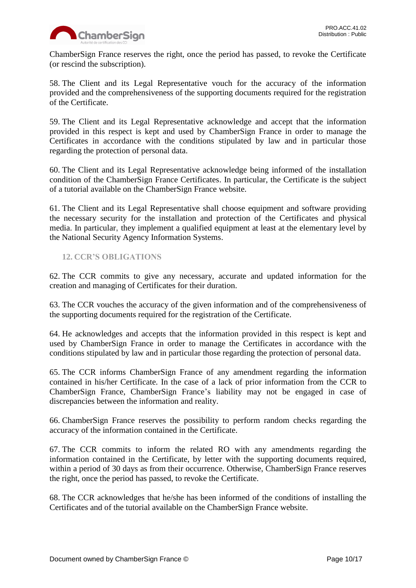

ChamberSign France reserves the right, once the period has passed, to revoke the Certificate (or rescind the subscription).

58. The Client and its Legal Representative vouch for the accuracy of the information provided and the comprehensiveness of the supporting documents required for the registration of the Certificate.

59. The Client and its Legal Representative acknowledge and accept that the information provided in this respect is kept and used by ChamberSign France in order to manage the Certificates in accordance with the conditions stipulated by law and in particular those regarding the protection of personal data.

60. The Client and its Legal Representative acknowledge being informed of the installation condition of the ChamberSign France Certificates. In particular, the Certificate is the subject of a tutorial available on the ChamberSign France website.

61. The Client and its Legal Representative shall choose equipment and software providing the necessary security for the installation and protection of the Certificates and physical media. In particular, they implement a qualified equipment at least at the elementary level by the National Security Agency Information Systems.

# <span id="page-9-0"></span>**12. CCR'S OBLIGATIONS**

62. The CCR commits to give any necessary, accurate and updated information for the creation and managing of Certificates for their duration.

63. The CCR vouches the accuracy of the given information and of the comprehensiveness of the supporting documents required for the registration of the Certificate.

64. He acknowledges and accepts that the information provided in this respect is kept and used by ChamberSign France in order to manage the Certificates in accordance with the conditions stipulated by law and in particular those regarding the protection of personal data.

65. The CCR informs ChamberSign France of any amendment regarding the information contained in his/her Certificate. In the case of a lack of prior information from the CCR to ChamberSign France, ChamberSign France's liability may not be engaged in case of discrepancies between the information and reality.

66. ChamberSign France reserves the possibility to perform random checks regarding the accuracy of the information contained in the Certificate.

67. The CCR commits to inform the related RO with any amendments regarding the information contained in the Certificate, by letter with the supporting documents required, within a period of 30 days as from their occurrence. Otherwise, ChamberSign France reserves the right, once the period has passed, to revoke the Certificate.

68. The CCR acknowledges that he/she has been informed of the conditions of installing the Certificates and of the tutorial available on the ChamberSign France website.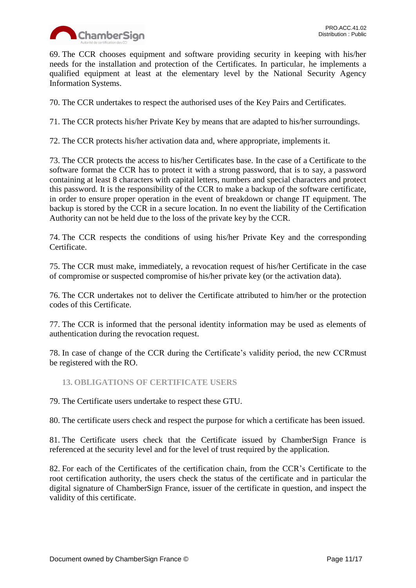

69. The CCR chooses equipment and software providing security in keeping with his/her needs for the installation and protection of the Certificates. In particular, he implements a qualified equipment at least at the elementary level by the National Security Agency Information Systems.

70. The CCR undertakes to respect the authorised uses of the Key Pairs and Certificates.

71. The CCR protects his/her Private Key by means that are adapted to his/her surroundings.

72. The CCR protects his/her activation data and, where appropriate, implements it.

73. The CCR protects the access to his/her Certificates base. In the case of a Certificate to the software format the CCR has to protect it with a strong password, that is to say, a password containing at least 8 characters with capital letters, numbers and special characters and protect this password. It is the responsibility of the CCR to make a backup of the software certificate, in order to ensure proper operation in the event of breakdown or change IT equipment. The backup is stored by the CCR in a secure location. In no event the liability of the Certification Authority can not be held due to the loss of the private key by the CCR.

74. The CCR respects the conditions of using his/her Private Key and the corresponding Certificate.

75. The CCR must make, immediately, a revocation request of his/her Certificate in the case of compromise or suspected compromise of his/her private key (or the activation data).

76. The CCR undertakes not to deliver the Certificate attributed to him/her or the protection codes of this Certificate.

77. The CCR is informed that the personal identity information may be used as elements of authentication during the revocation request.

78. In case of change of the CCR during the Certificate's validity period, the new CCRmust be registered with the RO.

<span id="page-10-0"></span>**13. OBLIGATIONS OF CERTIFICATE USERS**

79. The Certificate users undertake to respect these GTU.

80. The certificate users check and respect the purpose for which a certificate has been issued.

81. The Certificate users check that the Certificate issued by ChamberSign France is referenced at the security level and for the level of trust required by the application.

82. For each of the Certificates of the certification chain, from the CCR's Certificate to the root certification authority, the users check the status of the certificate and in particular the digital signature of ChamberSign France, issuer of the certificate in question, and inspect the validity of this certificate.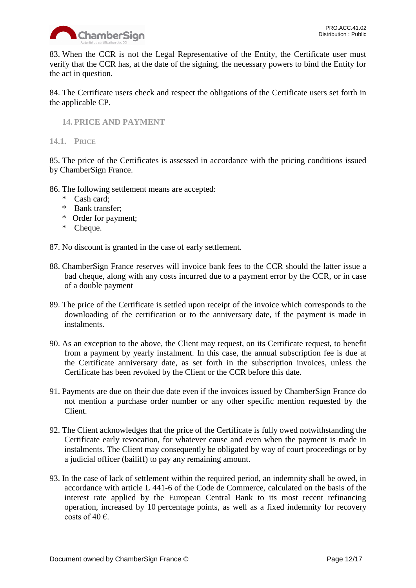

83. When the CCR is not the Legal Representative of the Entity, the Certificate user must verify that the CCR has, at the date of the signing, the necessary powers to bind the Entity for the act in question.

84. The Certificate users check and respect the obligations of the Certificate users set forth in the applicable CP.

<span id="page-11-0"></span>**14. PRICE AND PAYMENT**

<span id="page-11-1"></span>**14.1. PRICE**

85. The price of the Certificates is assessed in accordance with the pricing conditions issued by ChamberSign France.

- 86. The following settlement means are accepted:
	- \* Cash card;
	- \* Bank transfer;
	- \* Order for payment;
	- \* Cheque.

87. No discount is granted in the case of early settlement.

- 88. ChamberSign France reserves will invoice bank fees to the CCR should the latter issue a bad cheque, along with any costs incurred due to a payment error by the CCR, or in case of a double payment
- 89. The price of the Certificate is settled upon receipt of the invoice which corresponds to the downloading of the certification or to the anniversary date, if the payment is made in instalments.
- 90. As an exception to the above, the Client may request, on its Certificate request, to benefit from a payment by yearly instalment. In this case, the annual subscription fee is due at the Certificate anniversary date, as set forth in the subscription invoices, unless the Certificate has been revoked by the Client or the CCR before this date.
- 91. Payments are due on their due date even if the invoices issued by ChamberSign France do not mention a purchase order number or any other specific mention requested by the Client.
- 92. The Client acknowledges that the price of the Certificate is fully owed notwithstanding the Certificate early revocation, for whatever cause and even when the payment is made in instalments. The Client may consequently be obligated by way of court proceedings or by a judicial officer (bailiff) to pay any remaining amount.
- 93. In the case of lack of settlement within the required period, an indemnity shall be owed, in accordance with article L 441-6 of the Code de Commerce, calculated on the basis of the interest rate applied by the European Central Bank to its most recent refinancing operation, increased by 10 percentage points, as well as a fixed indemnity for recovery costs of 40  $\epsilon$ .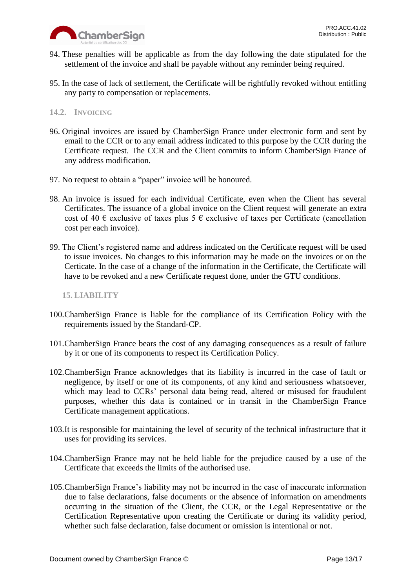

- 94. These penalties will be applicable as from the day following the date stipulated for the settlement of the invoice and shall be payable without any reminder being required.
- 95. In the case of lack of settlement, the Certificate will be rightfully revoked without entitling any party to compensation or replacements.

# <span id="page-12-0"></span>**14.2. INVOICING**

- 96. Original invoices are issued by ChamberSign France under electronic form and sent by email to the CCR or to any email address indicated to this purpose by the CCR during the Certificate request. The CCR and the Client commits to inform ChamberSign France of any address modification.
- 97. No request to obtain a "paper" invoice will be honoured.
- 98. An invoice is issued for each individual Certificate, even when the Client has several Certificates. The issuance of a global invoice on the Client request will generate an extra cost of 40  $\epsilon$  exclusive of taxes plus 5  $\epsilon$  exclusive of taxes per Certificate (cancellation cost per each invoice).
- 99. The Client's registered name and address indicated on the Certificate request will be used to issue invoices. No changes to this information may be made on the invoices or on the Certicate. In the case of a change of the information in the Certificate, the Certificate will have to be revoked and a new Certificate request done, under the GTU conditions.

## <span id="page-12-1"></span>**15. LIABILITY**

- 100.ChamberSign France is liable for the compliance of its Certification Policy with the requirements issued by the Standard-CP.
- 101.ChamberSign France bears the cost of any damaging consequences as a result of failure by it or one of its components to respect its Certification Policy.
- 102.ChamberSign France acknowledges that its liability is incurred in the case of fault or negligence, by itself or one of its components, of any kind and seriousness whatsoever, which may lead to CCRs' personal data being read, altered or misused for fraudulent purposes, whether this data is contained or in transit in the ChamberSign France Certificate management applications.
- 103.It is responsible for maintaining the level of security of the technical infrastructure that it uses for providing its services.
- 104.ChamberSign France may not be held liable for the prejudice caused by a use of the Certificate that exceeds the limits of the authorised use.
- 105.ChamberSign France's liability may not be incurred in the case of inaccurate information due to false declarations, false documents or the absence of information on amendments occurring in the situation of the Client, the CCR, or the Legal Representative or the Certification Representative upon creating the Certificate or during its validity period, whether such false declaration, false document or omission is intentional or not.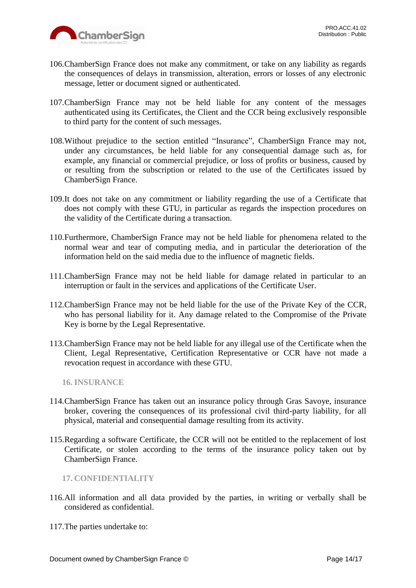

- 106.ChamberSign France does not make any commitment, or take on any liability as regards the consequences of delays in transmission, alteration, errors or losses of any electronic message, letter or document signed or authenticated.
- 107.ChamberSign France may not be held liable for any content of the messages authenticated using its Certificates, the Client and the CCR being exclusively responsible to third party for the content of such messages.
- 108.Without prejudice to the section entitled "Insurance", ChamberSign France may not, under any circumstances, be held liable for any consequential damage such as, for example, any financial or commercial prejudice, or loss of profits or business, caused by or resulting from the subscription or related to the use of the Certificates issued by ChamberSign France.
- 109.It does not take on any commitment or liability regarding the use of a Certificate that does not comply with these GTU, in particular as regards the inspection procedures on the validity of the Certificate during a transaction.
- 110.Furthermore, ChamberSign France may not be held liable for phenomena related to the normal wear and tear of computing media, and in particular the deterioration of the information held on the said media due to the influence of magnetic fields.
- 111.ChamberSign France may not be held liable for damage related in particular to an interruption or fault in the services and applications of the Certificate User.
- 112.ChamberSign France may not be held liable for the use of the Private Key of the CCR, who has personal liability for it. Any damage related to the Compromise of the Private Key is borne by the Legal Representative.
- 113.ChamberSign France may not be held liable for any illegal use of the Certificate when the Client, Legal Representative, Certification Representative or CCR have not made a revocation request in accordance with these GTU.

<span id="page-13-0"></span>**16. INSURANCE**

- 114.ChamberSign France has taken out an insurance policy through Gras Savoye, insurance broker, covering the consequences of its professional civil third-party liability, for all physical, material and consequential damage resulting from its activity.
- 115.Regarding a software Certificate, the CCR will not be entitled to the replacement of lost Certificate, or stolen according to the terms of the insurance policy taken out by ChamberSign France.

<span id="page-13-1"></span>**17. CONFIDENTIALITY**

- 116.All information and all data provided by the parties, in writing or verbally shall be considered as confidential.
- 117.The parties undertake to: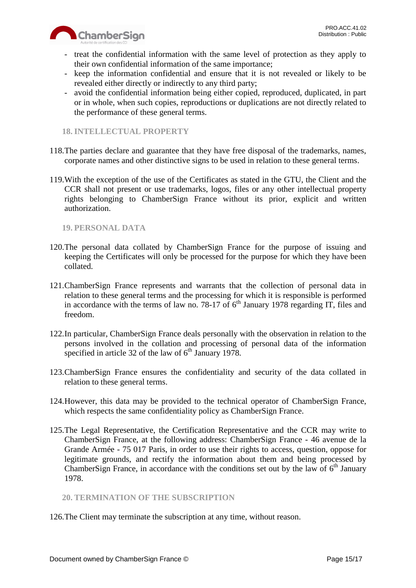



- treat the confidential information with the same level of protection as they apply to their own confidential information of the same importance;
- keep the information confidential and ensure that it is not revealed or likely to be revealed either directly or indirectly to any third party;
- avoid the confidential information being either copied, reproduced, duplicated, in part or in whole, when such copies, reproductions or duplications are not directly related to the performance of these general terms.

# <span id="page-14-0"></span>**18. INTELLECTUAL PROPERTY**

- 118.The parties declare and guarantee that they have free disposal of the trademarks, names, corporate names and other distinctive signs to be used in relation to these general terms.
- 119.With the exception of the use of the Certificates as stated in the GTU, the Client and the CCR shall not present or use trademarks, logos, files or any other intellectual property rights belonging to ChamberSign France without its prior, explicit and written authorization.

# <span id="page-14-1"></span>**19. PERSONAL DATA**

- 120.The personal data collated by ChamberSign France for the purpose of issuing and keeping the Certificates will only be processed for the purpose for which they have been collated.
- 121.ChamberSign France represents and warrants that the collection of personal data in relation to these general terms and the processing for which it is responsible is performed in accordance with the terms of law no. 78-17 of  $6<sup>th</sup>$  January 1978 regarding IT, files and freedom.
- 122.In particular, ChamberSign France deals personally with the observation in relation to the persons involved in the collation and processing of personal data of the information specified in article 32 of the law of  $6<sup>th</sup>$  January 1978.
- 123.ChamberSign France ensures the confidentiality and security of the data collated in relation to these general terms.
- 124.However, this data may be provided to the technical operator of ChamberSign France, which respects the same confidentiality policy as ChamberSign France.
- 125.The Legal Representative, the Certification Representative and the CCR may write to ChamberSign France, at the following address: ChamberSign France - 46 avenue de la Grande Armée - 75 017 Paris, in order to use their rights to access, question, oppose for legitimate grounds, and rectify the information about them and being processed by ChamberSign France, in accordance with the conditions set out by the law of  $6<sup>th</sup>$  January 1978.

# <span id="page-14-2"></span>**20. TERMINATION OF THE SUBSCRIPTION**

126.The Client may terminate the subscription at any time, without reason.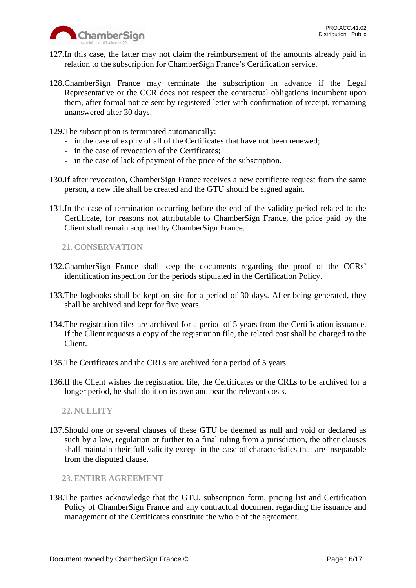

- 127.In this case, the latter may not claim the reimbursement of the amounts already paid in relation to the subscription for ChamberSign France's Certification service.
- 128.ChamberSign France may terminate the subscription in advance if the Legal Representative or the CCR does not respect the contractual obligations incumbent upon them, after formal notice sent by registered letter with confirmation of receipt, remaining unanswered after 30 days.
- 129.The subscription is terminated automatically:
	- in the case of expiry of all of the Certificates that have not been renewed;
	- in the case of revocation of the Certificates;
	- in the case of lack of payment of the price of the subscription.
- 130.If after revocation, ChamberSign France receives a new certificate request from the same person, a new file shall be created and the GTU should be signed again.
- 131.In the case of termination occurring before the end of the validity period related to the Certificate, for reasons not attributable to ChamberSign France, the price paid by the Client shall remain acquired by ChamberSign France.

<span id="page-15-0"></span>**21. CONSERVATION**

- 132.ChamberSign France shall keep the documents regarding the proof of the CCRs' identification inspection for the periods stipulated in the Certification Policy.
- 133.The logbooks shall be kept on site for a period of 30 days. After being generated, they shall be archived and kept for five years.
- 134.The registration files are archived for a period of 5 years from the Certification issuance. If the Client requests a copy of the registration file, the related cost shall be charged to the Client.
- 135.The Certificates and the CRLs are archived for a period of 5 years.
- 136.If the Client wishes the registration file, the Certificates or the CRLs to be archived for a longer period, he shall do it on its own and bear the relevant costs.

<span id="page-15-1"></span>**22. NULLITY**

137.Should one or several clauses of these GTU be deemed as null and void or declared as such by a law, regulation or further to a final ruling from a jurisdiction, the other clauses shall maintain their full validity except in the case of characteristics that are inseparable from the disputed clause.

<span id="page-15-2"></span>**23. ENTIRE AGREEMENT**

138.The parties acknowledge that the GTU, subscription form, pricing list and Certification Policy of ChamberSign France and any contractual document regarding the issuance and management of the Certificates constitute the whole of the agreement.